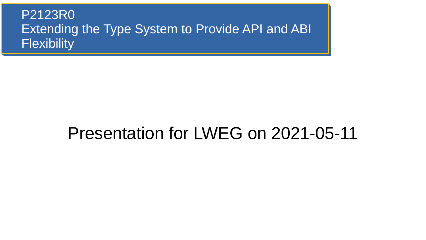#### P2123R0 Extending the Type System to Provide API and ABI **Flexibility**

#### Presentation for LWEG on 2021-05-11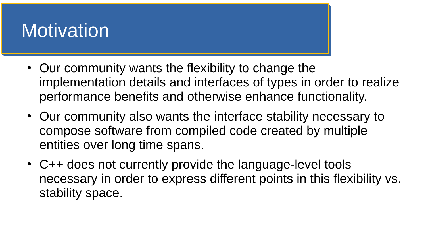## **Motivation**

- Our community wants the flexibility to change the implementation details and interfaces of types in order to realize performance benefits and otherwise enhance functionality.
- Our community also wants the interface stability necessary to compose software from compiled code created by multiple entities over long time spans.
- C++ does not currently provide the language-level tools necessary in order to express different points in this flexibility vs. stability space.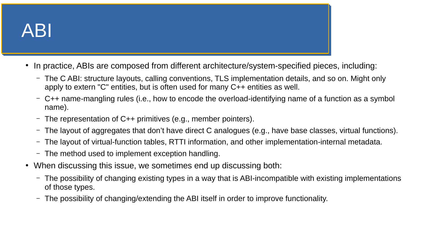# ABI

- In practice, ABIs are composed from different architecture/system-specified pieces, including:
	- The C ABI: structure layouts, calling conventions, TLS implementation details, and so on. Might only apply to extern "C" entities, but is often used for many C++ entities as well.
	- C++ name-mangling rules (i.e., how to encode the overload-identifying name of a function as a symbol name).
	- The representation of C++ primitives (e.g., member pointers).
	- The layout of aggregates that don't have direct C analogues (e.g., have base classes, virtual functions).
	- The layout of virtual-function tables, RTTI information, and other implementation-internal metadata.
	- The method used to implement exception handling.
- When discussing this issue, we sometimes end up discussing both:
	- The possibility of changing existing types in a way that is ABI-incompatible with existing implementations of those types.
	- The possibility of changing/extending the ABI itself in order to improve functionality.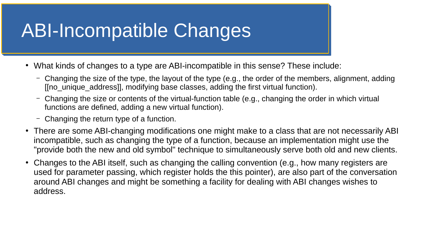#### ABI-Incompatible Changes

- What kinds of changes to a type are ABI-incompatible in this sense? These include:
	- Changing the size of the type, the layout of the type (e.g., the order of the members, alignment, adding [[no\_unique\_address]], modifying base classes, adding the first virtual function).
	- Changing the size or contents of the virtual-function table (e.g., changing the order in which virtual functions are defined, adding a new virtual function).
	- Changing the return type of a function.
- There are some ABI-changing modifications one might make to a class that are not necessarily ABI incompatible, such as changing the type of a function, because an implementation might use the "provide both the new and old symbol" technique to simultaneously serve both old and new clients.
- Changes to the ABI itself, such as changing the calling convention (e.g., how many registers are used for parameter passing, which register holds the this pointer), are also part of the conversation around ABI changes and might be something a facility for dealing with ABI changes wishes to address.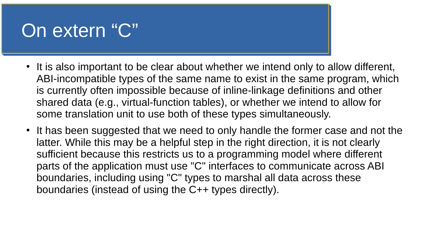#### On extern "C"

- It is also important to be clear about whether we intend only to allow different, ABI-incompatible types of the same name to exist in the same program, which is currently often impossible because of inline-linkage definitions and other shared data (e.g., virtual-function tables), or whether we intend to allow for some translation unit to use both of these types simultaneously.
- It has been suggested that we need to only handle the former case and not the latter. While this may be a helpful step in the right direction, it is not clearly sufficient because this restricts us to a programming model where different parts of the application must use "C" interfaces to communicate across ABI boundaries, including using "C" types to marshal all data across these boundaries (instead of using the C++ types directly).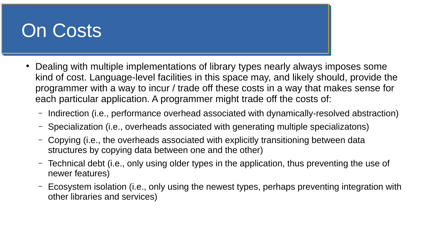### On Costs

- Dealing with multiple implementations of library types nearly always imposes some kind of cost. Language-level facilities in this space may, and likely should, provide the programmer with a way to incur / trade off these costs in a way that makes sense for each particular application. A programmer might trade off the costs of:
	- Indirection (i.e., performance overhead associated with dynamically-resolved abstraction)
	- Specialization (i.e., overheads associated with generating multiple specializatons)
	- Copying (i.e., the overheads associated with explicitly transitioning between data structures by copying data between one and the other)
	- Technical debt (i.e., only using older types in the application, thus preventing the use of newer features)
	- Ecosystem isolation (i.e., only using the newest types, perhaps preventing integration with other libraries and services)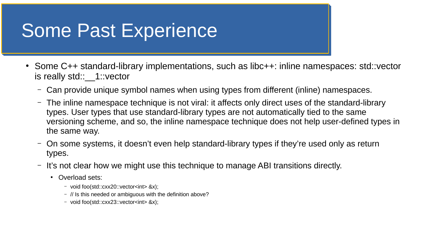#### Some Past Experience

- Some C++ standard-library implementations, such as libc++: inline namespaces: std::vector is really std:: 1::vector
	- Can provide unique symbol names when using types from different (inline) namespaces.
	- The inline namespace technique is not viral: it affects only direct uses of the standard-library types. User types that use standard-library types are not automatically tied to the same versioning scheme, and so, the inline namespace technique does not help user-defined types in the same way.
	- On some systems, it doesn't even help standard-library types if they're used only as return types.
	- It's not clear how we might use this technique to manage ABI transitions directly.
		- Overload sets:
			- void foo(std::cxx20::vector<int> &x);
			- // Is this needed or ambiguous with the definition above?
			- void foo(std::cxx23::vector<int> &x);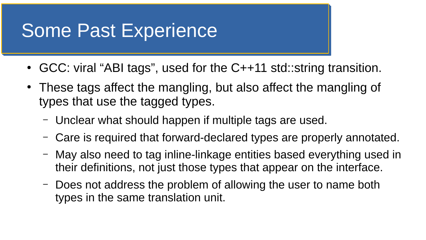#### Some Past Experience

- GCC: viral "ABI tags", used for the C++11 std::string transition.
- These tags affect the mangling, but also affect the mangling of types that use the tagged types.
	- Unclear what should happen if multiple tags are used.
	- Care is required that forward-declared types are properly annotated.
	- May also need to tag inline-linkage entities based everything used in their definitions, not just those types that appear on the interface.
	- Does not address the problem of allowing the user to name both types in the same translation unit.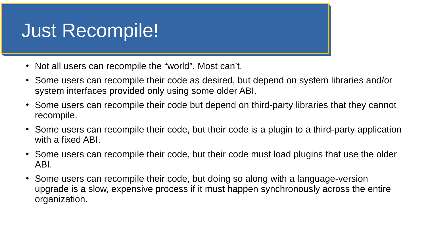### Just Recompile!

- Not all users can recompile the "world". Most can't.
- Some users can recompile their code as desired, but depend on system libraries and/or system interfaces provided only using some older ABI.
- Some users can recompile their code but depend on third-party libraries that they cannot recompile.
- Some users can recompile their code, but their code is a plugin to a third-party application with a fixed ABI.
- Some users can recompile their code, but their code must load plugins that use the older ABI.
- Some users can recompile their code, but doing so along with a language-version upgrade is a slow, expensive process if it must happen synchronously across the entire organization.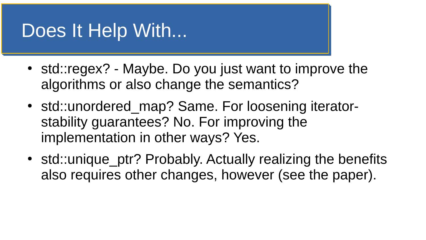#### Does It Help With...

- std::regex? Maybe. Do you just want to improve the algorithms or also change the semantics?
- std::unordered map? Same. For loosening iteratorstability guarantees? No. For improving the implementation in other ways? Yes.
- std::unique ptr? Probably. Actually realizing the benefits also requires other changes, however (see the paper).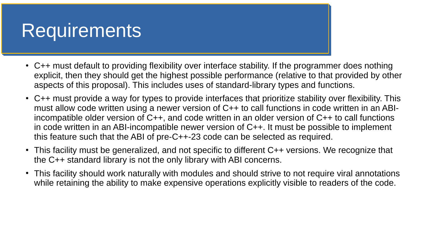#### Requirements

- $\bullet$  C++ must default to providing flexibility over interface stability. If the programmer does nothing explicit, then they should get the highest possible performance (relative to that provided by other aspects of this proposal). This includes uses of standard-library types and functions.
- $\cdot$  C++ must provide a way for types to provide interfaces that prioritize stability over flexibility. This must allow code written using a newer version of C++ to call functions in code written in an ABIincompatible older version of C++, and code written in an older version of C++ to call functions in code written in an ABI-incompatible newer version of C++. It must be possible to implement this feature such that the ABI of pre-C++-23 code can be selected as required.
- This facility must be generalized, and not specific to different C++ versions. We recognize that the C++ standard library is not the only library with ABI concerns.
- This facility should work naturally with modules and should strive to not require viral annotations while retaining the ability to make expensive operations explicitly visible to readers of the code.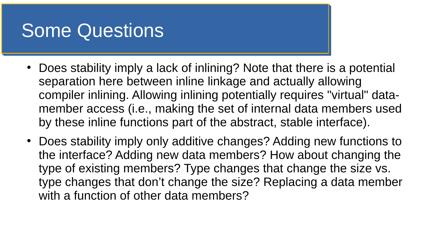#### Some Questions

- Does stability imply a lack of inlining? Note that there is a potential separation here between inline linkage and actually allowing compiler inlining. Allowing inlining potentially requires "virtual" datamember access (i.e., making the set of internal data members used by these inline functions part of the abstract, stable interface).
- Does stability imply only additive changes? Adding new functions to the interface? Adding new data members? How about changing the type of existing members? Type changes that change the size vs. type changes that don't change the size? Replacing a data member with a function of other data members?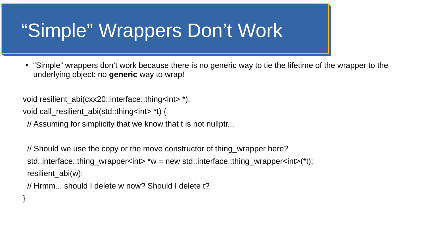#### "Simple" Wrappers Don't Work

• "Simple" wrappers don't work because there is no generic way to tie the lifetime of the wrapper to the underlying object: no **generic** way to wrap!

void resilient abi(cxx20::interface::thing<int> \*);

void call\_resilient\_abi(std::thing<int> \*t) {

}

// Assuming for simplicity that we know that t is not nullptr...

 // Should we use the copy or the move constructor of thing\_wrapper here? std::interface::thing\_wrapper<int> \*w = new std::interface::thing\_wrapper<int>(\*t); resilient abi(w);

// Hrmm... should I delete w now? Should I delete t?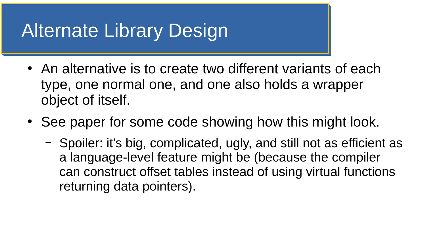## Alternate Library Design

- An alternative is to create two different variants of each type, one normal one, and one also holds a wrapper object of itself.
- See paper for some code showing how this might look.
	- Spoiler: it's big, complicated, ugly, and still not as efficient as a language-level feature might be (because the compiler can construct offset tables instead of using virtual functions returning data pointers).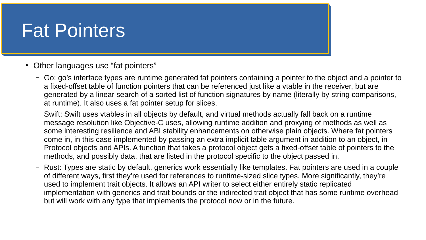#### Fat Pointers

- Other languages use "fat pointers"
	- Go: go's interface types are runtime generated fat pointers containing a pointer to the object and a pointer to a fixed-offset table of function pointers that can be referenced just like a vtable in the receiver, but are generated by a linear search of a sorted list of function signatures by name (literally by string comparisons, at runtime). It also uses a fat pointer setup for slices.
	- Swift: Swift uses vtables in all objects by default, and virtual methods actually fall back on a runtime message resolution like Objective-C uses, allowing runtime addition and proxying of methods as well as some interesting resilience and ABI stability enhancements on otherwise plain objects. Where fat pointers come in, in this case implemented by passing an extra implicit table argument in addition to an object, in Protocol objects and APIs. A function that takes a protocol object gets a fixed-offset table of pointers to the methods, and possibly data, that are listed in the protocol specific to the object passed in.
	- Rust: Types are static by default, generics work essentially like templates. Fat pointers are used in a couple of different ways, first they're used for references to runtime-sized slice types. More significantly, they're used to implement trait objects. It allows an API writer to select either entirely static replicated implementation with generics and trait bounds or the indirected trait object that has some runtime overhead but will work with any type that implements the protocol now or in the future.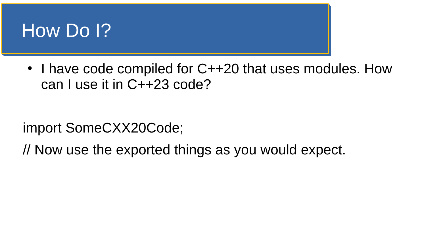

• I have code compiled for C++20 that uses modules. How can I use it in C++23 code?

import SomeCXX20Code;

// Now use the exported things as you would expect.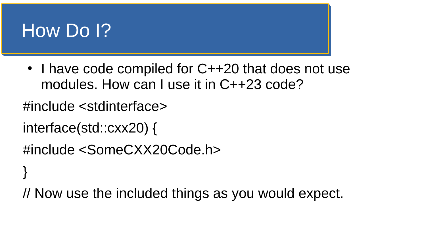

}

• I have code compiled for C++20 that does not use modules. How can I use it in C++23 code?

#include <stdinterface>

```
interface(std::cxx20) {
```

```
#include <SomeCXX20Code.h>
```

```
// Now use the included things as you would expect.
```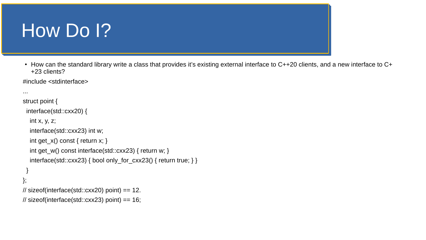#### How Do I?

• How can the standard library write a class that provides it's existing external interface to C++20 clients, and a new interface to C+ +23 clients?

#include <stdinterface>

```
...
struct point {
  interface(std::cxx20) {
  int x, y, z;
   interface(std::cxx23) int w;
  int get x() const { return x; }
  int get w() const interface(std::cxx23) { return w; }
  interface(stat::cxx23) { bool only for cxx23() { return true; } }
 }
};
// sizeof(interface(std::cxx20) point) == 12.
\frac{1}{2} sizeof(interface(std::cxx23) point) == 16;
```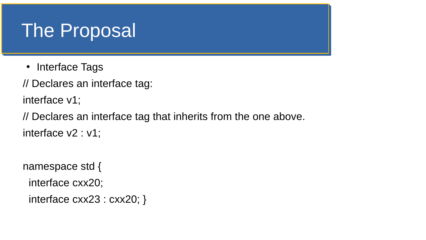- Interface Tags
- // Declares an interface tag:

interface v1;

// Declares an interface tag that inherits from the one above. interface v2 : v1;

namespace std {

interface cxx20;

```
 interface cxx23 : cxx20; }
```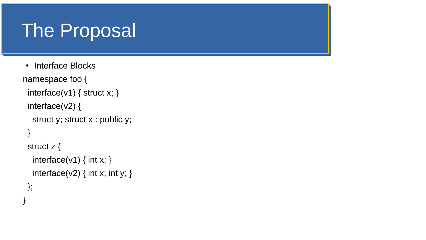```
• Interface Blocks
namespace foo {
 interface(v1) { struct x; }
  interface(v2) {
   struct y; struct x : public y;
 }
  struct z {
  interface(v1) { int x; }
  interface(v2) \{ int x; int y; \} };
}
```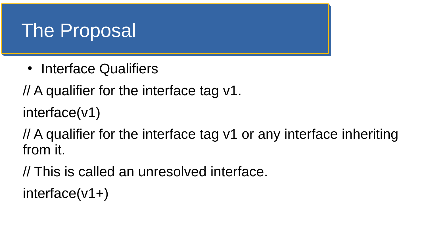• Interface Qualifiers

// A qualifier for the interface tag v1.

interface(v1)

// A qualifier for the interface tag v1 or any interface inheriting from it.

// This is called an unresolved interface.

interface(v1+)